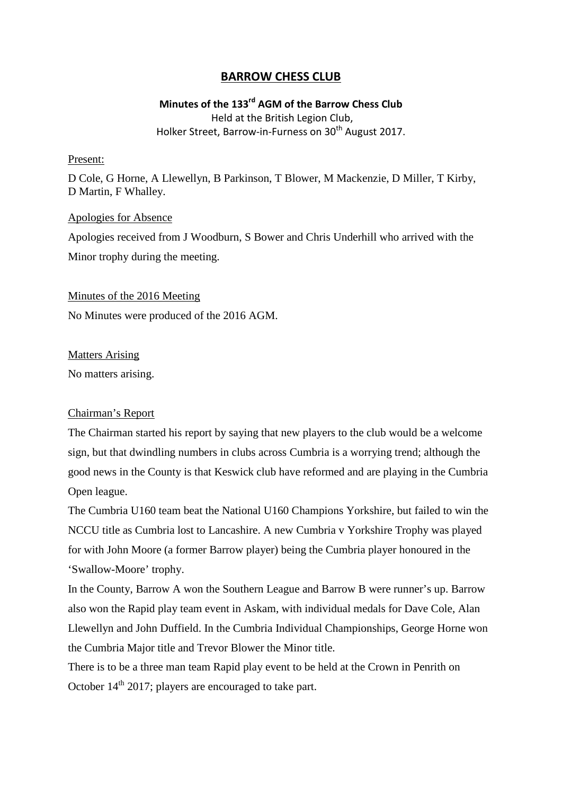## **BARROW CHESS CLUB**

# **Minutes of the 133rd AGM of the Barrow Chess Club** Held at the British Legion Club, Holker Street, Barrow-in-Furness on 30<sup>th</sup> August 2017.

#### Present:

D Cole, G Horne, A Llewellyn, B Parkinson, T Blower, M Mackenzie, D Miller, T Kirby, D Martin, F Whalley.

# Apologies for Absence Apologies received from J Woodburn, S Bower and Chris Underhill who arrived with the Minor trophy during the meeting.

Minutes of the 2016 Meeting No Minutes were produced of the 2016 AGM.

Matters Arising

No matters arising.

#### Chairman's Report

The Chairman started his report by saying that new players to the club would be a welcome sign, but that dwindling numbers in clubs across Cumbria is a worrying trend; although the good news in the County is that Keswick club have reformed and are playing in the Cumbria Open league.

The Cumbria U160 team beat the National U160 Champions Yorkshire, but failed to win the NCCU title as Cumbria lost to Lancashire. A new Cumbria v Yorkshire Trophy was played for with John Moore (a former Barrow player) being the Cumbria player honoured in the 'Swallow-Moore' trophy.

In the County, Barrow A won the Southern League and Barrow B were runner's up. Barrow also won the Rapid play team event in Askam, with individual medals for Dave Cole, Alan Llewellyn and John Duffield. In the Cumbria Individual Championships, George Horne won the Cumbria Major title and Trevor Blower the Minor title.

There is to be a three man team Rapid play event to be held at the Crown in Penrith on October  $14<sup>th</sup>$  2017; players are encouraged to take part.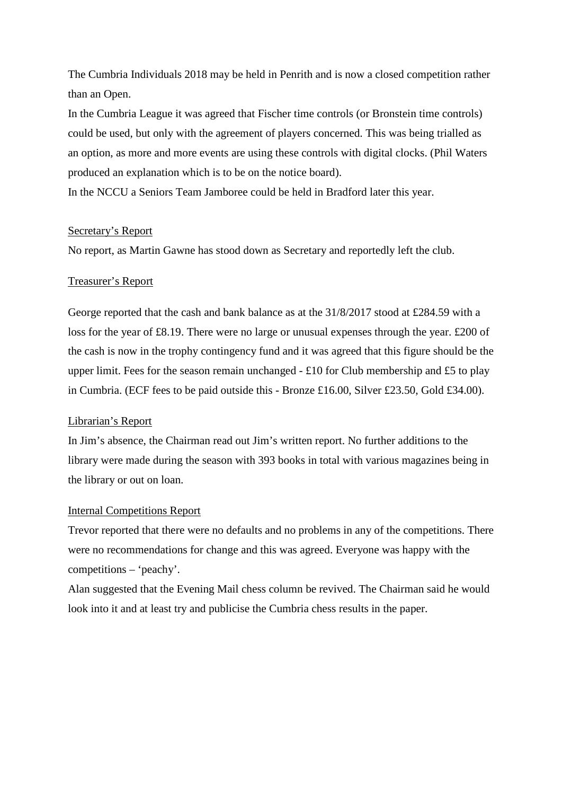The Cumbria Individuals 2018 may be held in Penrith and is now a closed competition rather than an Open.

In the Cumbria League it was agreed that Fischer time controls (or Bronstein time controls) could be used, but only with the agreement of players concerned. This was being trialled as an option, as more and more events are using these controls with digital clocks. (Phil Waters produced an explanation which is to be on the notice board).

In the NCCU a Seniors Team Jamboree could be held in Bradford later this year.

#### Secretary's Report

No report, as Martin Gawne has stood down as Secretary and reportedly left the club.

#### Treasurer's Report

George reported that the cash and bank balance as at the 31/8/2017 stood at £284.59 with a loss for the year of £8.19. There were no large or unusual expenses through the year. £200 of the cash is now in the trophy contingency fund and it was agreed that this figure should be the upper limit. Fees for the season remain unchanged  $- \pounds 10$  for Club membership and  $\pounds 5$  to play in Cumbria. (ECF fees to be paid outside this - Bronze £16.00, Silver £23.50, Gold £34.00).

#### Librarian's Report

In Jim's absence, the Chairman read out Jim's written report. No further additions to the library were made during the season with 393 books in total with various magazines being in the library or out on loan.

#### Internal Competitions Report

Trevor reported that there were no defaults and no problems in any of the competitions. There were no recommendations for change and this was agreed. Everyone was happy with the competitions – 'peachy'.

Alan suggested that the Evening Mail chess column be revived. The Chairman said he would look into it and at least try and publicise the Cumbria chess results in the paper.